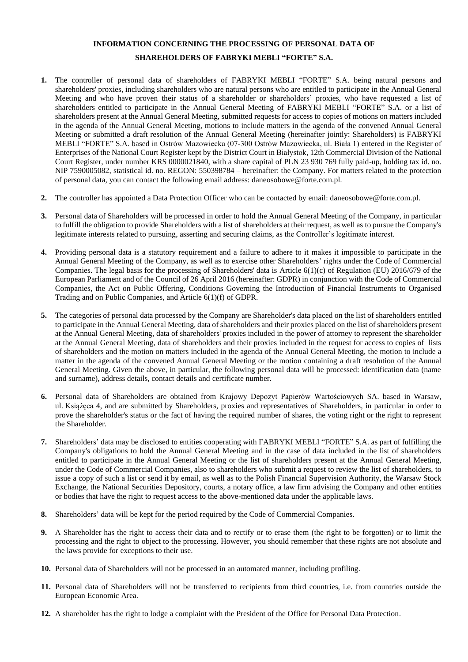## **INFORMATION CONCERNING THE PROCESSING OF PERSONAL DATA OF SHAREHOLDERS OF FABRYKI MEBLI "FORTE" S.A.**

- **1.** The controller of personal data of shareholders of FABRYKI MEBLI "FORTE" S.A. being natural persons and shareholders' proxies, including shareholders who are natural persons who are entitled to participate in the Annual General Meeting and who have proven their status of a shareholder or shareholders' proxies, who have requested a list of shareholders entitled to participate in the Annual General Meeting of FABRYKI MEBLI "FORTE" S.A. or a list of shareholders present at the Annual General Meeting, submitted requests for access to copies of motions on matters included in the agenda of the Annual General Meeting, motions to include matters in the agenda of the convened Annual General Meeting or submitted a draft resolution of the Annual General Meeting (hereinafter jointly: Shareholders) is FABRYKI MEBLI "FORTE" S.A. based in Ostrów Mazowiecka (07-300 Ostrów Mazowiecka, ul. Biała 1) entered in the Register of Enterprises of the National Court Register kept by the District Court in Białystok, 12th Commercial Division of the National Court Register, under number KRS 0000021840, with a share capital of PLN 23 930 769 fully paid-up, holding tax id. no. NIP 7590005082, statistical id. no. REGON: 550398784 – hereinafter: the Company. For matters related to the protection of personal data, you can contact the following email address: daneosobowe@forte.com.pl.
- **2.** The controller has appointed a Data Protection Officer who can be contacted by email: daneosobowe@forte.com.pl.
- **3.** Personal data of Shareholders will be processed in order to hold the Annual General Meeting of the Company, in particular to fulfill the obligation to provide Shareholders with a list of shareholders at their request, as well as to pursue the Company's legitimate interests related to pursuing, asserting and securing claims, as the Controller's legitimate interest.
- **4.** Providing personal data is a statutory requirement and a failure to adhere to it makes it impossible to participate in the Annual General Meeting of the Company, as well as to exercise other Shareholders' rights under the Code of Commercial Companies. The legal basis for the processing of Shareholders' data is Article 6(1)(c) of Regulation (EU) 2016/679 of the European Parliament and of the Council of 26 April 2016 (hereinafter: GDPR) in conjunction with the Code of Commercial Companies, the Act on Public Offering, Conditions Governing the Introduction of Financial Instruments to Organised Trading and on Public Companies, and Article 6(1)(f) of GDPR.
- **5.** The categories of personal data processed by the Company are Shareholder's data placed on the list of shareholders entitled to participate in the Annual General Meeting, data of shareholders and their proxies placed on the list of shareholders present at the Annual General Meeting, data of shareholders' proxies included in the power of attorney to represent the shareholder at the Annual General Meeting, data of shareholders and their proxies included in the request for access to copies of lists of shareholders and the motion on matters included in the agenda of the Annual General Meeting, the motion to include a matter in the agenda of the convened Annual General Meeting or the motion containing a draft resolution of the Annual General Meeting. Given the above, in particular, the following personal data will be processed: identification data (name and surname), address details, contact details and certificate number.
- **6.** Personal data of Shareholders are obtained from Krajowy Depozyt Papierów Wartościowych SA. based in Warsaw, ul. Książęca 4, and are submitted by Shareholders, proxies and representatives of Shareholders, in particular in order to prove the shareholder's status or the fact of having the required number of shares, the voting right or the right to represent the Shareholder.
- **7.** Shareholders' data may be disclosed to entities cooperating with FABRYKI MEBLI "FORTE" S.A. as part of fulfilling the Company's obligations to hold the Annual General Meeting and in the case of data included in the list of shareholders entitled to participate in the Annual General Meeting or the list of shareholders present at the Annual General Meeting, under the Code of Commercial Companies, also to shareholders who submit a request to review the list of shareholders, to issue a copy of such a list or send it by email, as well as to the Polish Financial Supervision Authority, the Warsaw Stock Exchange, the National Securities Depository, courts, a notary office, a law firm advising the Company and other entities or bodies that have the right to request access to the above-mentioned data under the applicable laws.
- **8.** Shareholders' data will be kept for the period required by the Code of Commercial Companies.
- **9.** A Shareholder has the right to access their data and to rectify or to erase them (the right to be forgotten) or to limit the processing and the right to object to the processing. However, you should remember that these rights are not absolute and the laws provide for exceptions to their use.
- **10.** Personal data of Shareholders will not be processed in an automated manner, including profiling.
- **11.** Personal data of Shareholders will not be transferred to recipients from third countries, i.e. from countries outside the European Economic Area.
- **12.** A shareholder has the right to lodge a complaint with the President of the Office for Personal Data Protection.